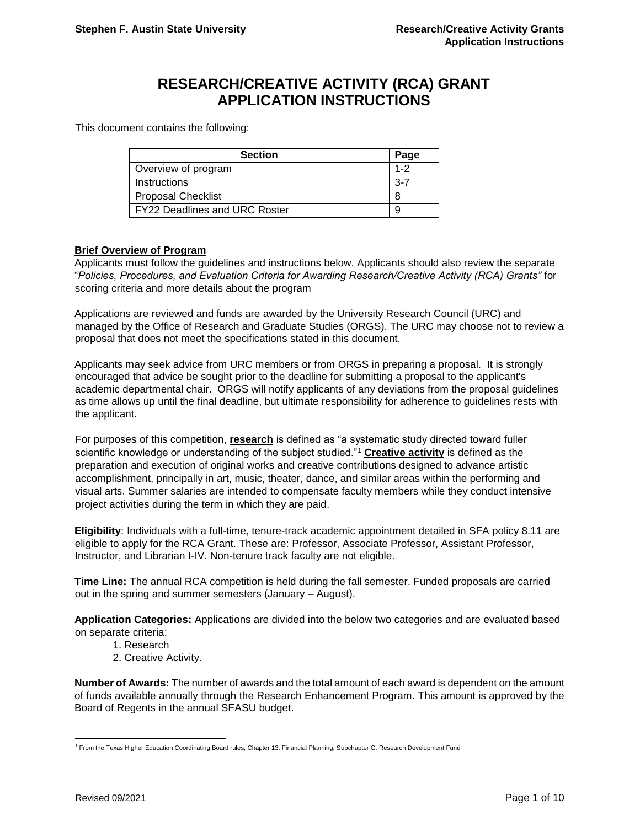# **RESEARCH/CREATIVE ACTIVITY (RCA) GRANT APPLICATION INSTRUCTIONS**

This document contains the following:

| <b>Section</b>                       | Page    |
|--------------------------------------|---------|
| Overview of program                  | $1 - 2$ |
| Instructions                         | $3-7$   |
| <b>Proposal Checklist</b>            |         |
| <b>FY22 Deadlines and URC Roster</b> |         |

#### **Brief Overview of Program**

Applicants must follow the guidelines and instructions below. Applicants should also review the separate "*Policies, Procedures, and Evaluation Criteria for Awarding Research/Creative Activity (RCA) Grants"* for scoring criteria and more details about the program

Applications are reviewed and funds are awarded by the University Research Council (URC) and managed by the Office of Research and Graduate Studies (ORGS). The URC may choose not to review a proposal that does not meet the specifications stated in this document.

Applicants may seek advice from URC members or from ORGS in preparing a proposal. It is strongly encouraged that advice be sought prior to the deadline for submitting a proposal to the applicant's academic departmental chair. ORGS will notify applicants of any deviations from the proposal guidelines as time allows up until the final deadline, but ultimate responsibility for adherence to guidelines rests with the applicant.

For purposes of this competition, **research** is defined as "a systematic study directed toward fuller scientific knowledge or understanding of the subject studied."<sup>1</sup> **Creative activity** is defined as the preparation and execution of original works and creative contributions designed to advance artistic accomplishment, principally in art, music, theater, dance, and similar areas within the performing and visual arts. Summer salaries are intended to compensate faculty members while they conduct intensive project activities during the term in which they are paid.

**Eligibility**: Individuals with a full-time, tenure-track academic appointment detailed in SFA policy 8.11 are eligible to apply for the RCA Grant. These are: Professor, Associate Professor, Assistant Professor, Instructor, and Librarian I-IV. Non-tenure track faculty are not eligible.

**Time Line:** The annual RCA competition is held during the fall semester. Funded proposals are carried out in the spring and summer semesters (January – August).

**Application Categories:** Applications are divided into the below two categories and are evaluated based on separate criteria:

- 1. Research
- 2. Creative Activity.

**Number of Awards:** The number of awards and the total amount of each award is dependent on the amount of funds available annually through the Research Enhancement Program. This amount is approved by the Board of Regents in the annual SFASU budget.

l

<sup>1</sup> From the Texas Higher Education Coordinating Board rules, Chapter 13. Financial Planning, Subchapter G. Research Development Fund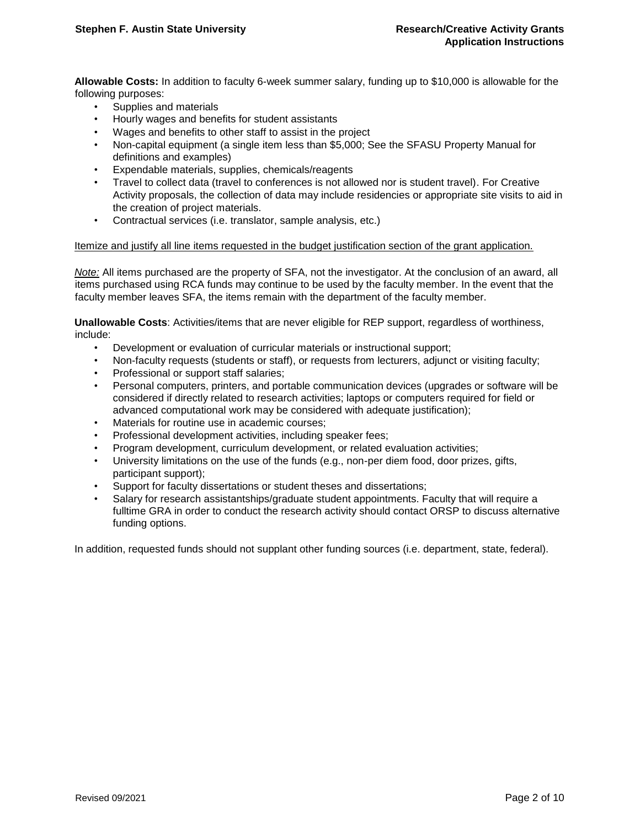**Allowable Costs:** In addition to faculty 6-week summer salary, funding up to \$10,000 is allowable for the following purposes:

- Supplies and materials
- Hourly wages and benefits for student assistants
- Wages and benefits to other staff to assist in the project
- Non-capital equipment (a single item less than \$5,000; See the SFASU Property Manual for definitions and examples)
- Expendable materials, supplies, chemicals/reagents
- Travel to collect data (travel to conferences is not allowed nor is student travel). For Creative Activity proposals, the collection of data may include residencies or appropriate site visits to aid in the creation of project materials.
- Contractual services (i.e. translator, sample analysis, etc.)

#### Itemize and justify all line items requested in the budget justification section of the grant application.

*Note:* All items purchased are the property of SFA, not the investigator. At the conclusion of an award, all items purchased using RCA funds may continue to be used by the faculty member. In the event that the faculty member leaves SFA, the items remain with the department of the faculty member.

**Unallowable Costs**: Activities/items that are never eligible for REP support, regardless of worthiness, include:

- Development or evaluation of curricular materials or instructional support;
- Non-faculty requests (students or staff), or requests from lecturers, adjunct or visiting faculty;
- Professional or support staff salaries;
- Personal computers, printers, and portable communication devices (upgrades or software will be considered if directly related to research activities; laptops or computers required for field or advanced computational work may be considered with adequate justification);
- Materials for routine use in academic courses;
- Professional development activities, including speaker fees;
- Program development, curriculum development, or related evaluation activities;
- University limitations on the use of the funds (e.g., non-per diem food, door prizes, gifts, participant support);
- Support for faculty dissertations or student theses and dissertations;
- Salary for research assistantships/graduate student appointments. Faculty that will require a fulltime GRA in order to conduct the research activity should contact ORSP to discuss alternative funding options.

In addition, requested funds should not supplant other funding sources (i.e. department, state, federal).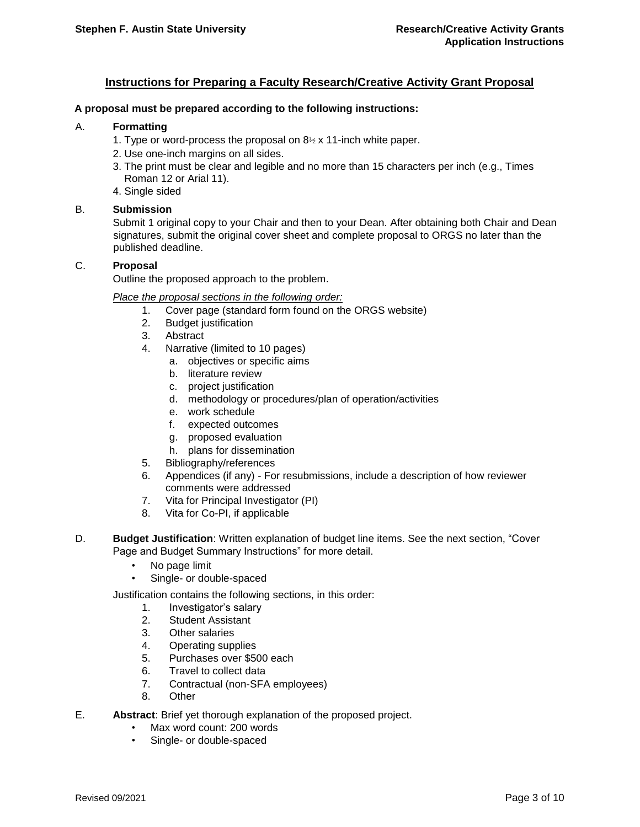# **Instructions for Preparing a Faculty Research/Creative Activity Grant Proposal**

#### **A proposal must be prepared according to the following instructions:**

#### A. **Formatting**

- 1. Type or word-process the proposal on  $8\frac{1}{2}$  x 11-inch white paper.
- 2. Use one-inch margins on all sides.
- 3. The print must be clear and legible and no more than 15 characters per inch (e.g., Times Roman 12 or Arial 11).
- 4. Single sided

#### B. **Submission**

Submit 1 original copy to your Chair and then to your Dean. After obtaining both Chair and Dean signatures, submit the original cover sheet and complete proposal to ORGS no later than the published deadline.

# C. **Proposal**

Outline the proposed approach to the problem.

*Place the proposal sections in the following order:* 

- 1. Cover page (standard form found on the ORGS website)
- 2. Budget justification
- 3. Abstract
- 4. Narrative (limited to 10 pages)
	- a. objectives or specific aims
	- b. literature review
	- c. project justification
	- d. methodology or procedures/plan of operation/activities
	- e. work schedule
	- f. expected outcomes
	- g. proposed evaluation
	- h. plans for dissemination
- 5. Bibliography/references
- 6. Appendices (if any) For resubmissions, include a description of how reviewer comments were addressed
- 7. Vita for Principal Investigator (PI)
- 8. Vita for Co-PI, if applicable
- D. **Budget Justification**: Written explanation of budget line items. See the next section, "Cover Page and Budget Summary Instructions" for more detail.
	- No page limit
	- Single- or double-spaced

Justification contains the following sections, in this order:

- 1. Investigator's salary
- 2. Student Assistant
- 3. Other salaries
- 4. Operating supplies
- 5. Purchases over \$500 each
- 6. Travel to collect data
- 7. Contractual (non-SFA employees)
- 8. Other
- E. **Abstract**: Brief yet thorough explanation of the proposed project.
	- Max word count: 200 words
	- Single- or double-spaced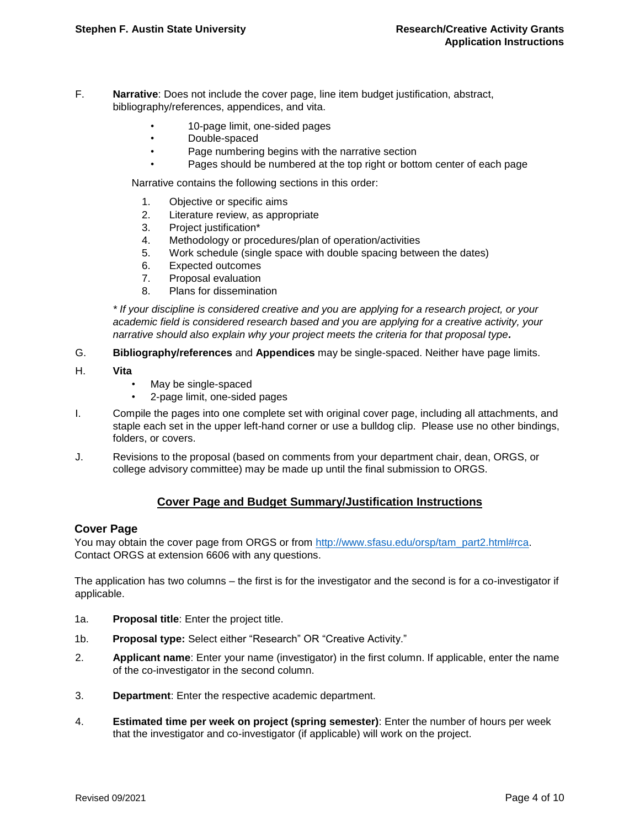- F. **Narrative**: Does not include the cover page, line item budget justification, abstract, bibliography/references, appendices, and vita.
	- 10-page limit, one-sided pages
	- Double-spaced
	- Page numbering begins with the narrative section
	- Pages should be numbered at the top right or bottom center of each page

Narrative contains the following sections in this order:

- 1. Objective or specific aims
- 2. Literature review, as appropriate
- 3. Project justification\*
- 4. Methodology or procedures/plan of operation/activities
- 5. Work schedule (single space with double spacing between the dates)
- 6. Expected outcomes
- 7. Proposal evaluation
- 8. Plans for dissemination

*\* If your discipline is considered creative and you are applying for a research project, or your academic field is considered research based and you are applying for a creative activity, your narrative should also explain why your project meets the criteria for that proposal type.* 

- G. **Bibliography/references** and **Appendices** may be single-spaced. Neither have page limits.
- H. **Vita** 
	- May be single-spaced
	- 2-page limit, one-sided pages
- I. Compile the pages into one complete set with original cover page, including all attachments, and staple each set in the upper left-hand corner or use a bulldog clip. Please use no other bindings, folders, or covers.
- J. Revisions to the proposal (based on comments from your department chair, dean, ORGS, or college advisory committee) may be made up until the final submission to ORGS.

# **Cover Page and Budget Summary/Justification Instructions**

# **Cover Page**

You may obtain the cover page from ORGS or from [http://www.sfasu.edu/orsp/tam\\_part2.html#rca.](http://www.sfasu.edu/orsp/tam_part2.html#rca) Contact ORGS at extension 6606 with any questions.

The application has two columns – the first is for the investigator and the second is for a co-investigator if applicable.

- 1a. **Proposal title**: Enter the project title.
- 1b. **Proposal type:** Select either "Research" OR "Creative Activity."
- 2. **Applicant name**: Enter your name (investigator) in the first column. If applicable, enter the name of the co-investigator in the second column.
- 3. **Department**: Enter the respective academic department.
- 4. **Estimated time per week on project (spring semester)**: Enter the number of hours per week that the investigator and co-investigator (if applicable) will work on the project.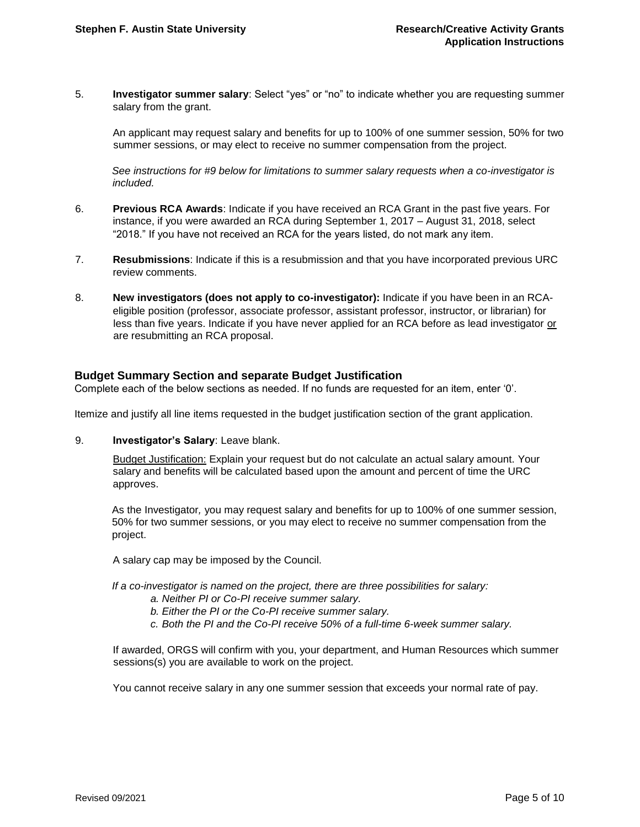5. **Investigator summer salary**: Select "yes" or "no" to indicate whether you are requesting summer salary from the grant.

An applicant may request salary and benefits for up to 100% of one summer session, 50% for two summer sessions, or may elect to receive no summer compensation from the project.

*See instructions for #9 below for limitations to summer salary requests when a co-investigator is included.* 

- 6. **Previous RCA Awards**: Indicate if you have received an RCA Grant in the past five years. For instance, if you were awarded an RCA during September 1, 2017 – August 31, 2018, select "2018." If you have not received an RCA for the years listed, do not mark any item.
- 7. **Resubmissions**: Indicate if this is a resubmission and that you have incorporated previous URC review comments.
- 8. **New investigators (does not apply to co-investigator):** Indicate if you have been in an RCAeligible position (professor, associate professor, assistant professor, instructor, or librarian) for less than five years. Indicate if you have never applied for an RCA before as lead investigator or are resubmitting an RCA proposal.

# **Budget Summary Section and separate Budget Justification**

Complete each of the below sections as needed. If no funds are requested for an item, enter '0'.

Itemize and justify all line items requested in the budget justification section of the grant application.

9. **Investigator's Salary**: Leave blank.

Budget Justification: Explain your request but do not calculate an actual salary amount. Your salary and benefits will be calculated based upon the amount and percent of time the URC approves.

As the Investigator*,* you may request salary and benefits for up to 100% of one summer session, 50% for two summer sessions, or you may elect to receive no summer compensation from the project.

A salary cap may be imposed by the Council.

*If a co-investigator is named on the project, there are three possibilities for salary:* 

- *a. Neither PI or Co-PI receive summer salary.*
- *b. Either the PI or the Co-PI receive summer salary.*
- *c. Both the PI and the Co-PI receive 50% of a full-time 6-week summer salary.*

If awarded, ORGS will confirm with you, your department, and Human Resources which summer sessions(s) you are available to work on the project.

You cannot receive salary in any one summer session that exceeds your normal rate of pay.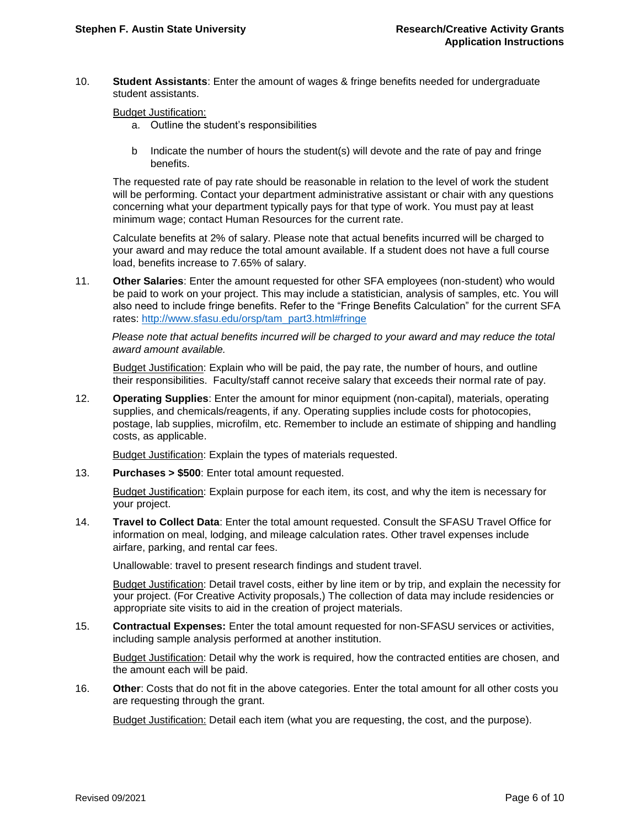10. **Student Assistants**: Enter the amount of wages & fringe benefits needed for undergraduate student assistants.

Budget Justification:

- a. Outline the student's responsibilities
- b Indicate the number of hours the student(s) will devote and the rate of pay and fringe benefits.

The requested rate of pay rate should be reasonable in relation to the level of work the student will be performing. Contact your department administrative assistant or chair with any questions concerning what your department typically pays for that type of work. You must pay at least minimum wage; contact Human Resources for the current rate.

Calculate benefits at 2% of salary. Please note that actual benefits incurred will be charged to your award and may reduce the total amount available. If a student does not have a full course load, benefits increase to 7.65% of salary.

11. **Other Salaries**: Enter the amount requested for other SFA employees (non-student) who would be paid to work on your project. This may include a statistician, analysis of samples, etc. You will also need to include fringe benefits. Refer to the "Fringe Benefits Calculation" for the current SFA rates: [http://www.sfasu.edu/orsp/tam\\_part3.html#fringe](http://www.sfasu.edu/orsp/tam_part3.html#fringe)

*Please note that actual benefits incurred will be charged to your award and may reduce the total award amount available.* 

Budget Justification: Explain who will be paid, the pay rate, the number of hours, and outline their responsibilities. Faculty/staff cannot receive salary that exceeds their normal rate of pay.

12. **Operating Supplies**: Enter the amount for minor equipment (non-capital), materials, operating supplies, and chemicals/reagents, if any. Operating supplies include costs for photocopies, postage, lab supplies, microfilm, etc. Remember to include an estimate of shipping and handling costs, as applicable.

Budget Justification: Explain the types of materials requested.

13. **Purchases > \$500**: Enter total amount requested.

Budget Justification: Explain purpose for each item, its cost, and why the item is necessary for your project.

14. **Travel to Collect Data**: Enter the total amount requested. Consult the SFASU Travel Office for information on meal, lodging, and mileage calculation rates. Other travel expenses include airfare, parking, and rental car fees.

Unallowable: travel to present research findings and student travel.

Budget Justification: Detail travel costs, either by line item or by trip, and explain the necessity for your project. (For Creative Activity proposals,) The collection of data may include residencies or appropriate site visits to aid in the creation of project materials.

15. **Contractual Expenses:** Enter the total amount requested for non-SFASU services or activities, including sample analysis performed at another institution.

Budget Justification: Detail why the work is required, how the contracted entities are chosen, and the amount each will be paid.

16. **Other**: Costs that do not fit in the above categories. Enter the total amount for all other costs you are requesting through the grant.

**Budget Justification: Detail each item (what you are requesting, the cost, and the purpose).**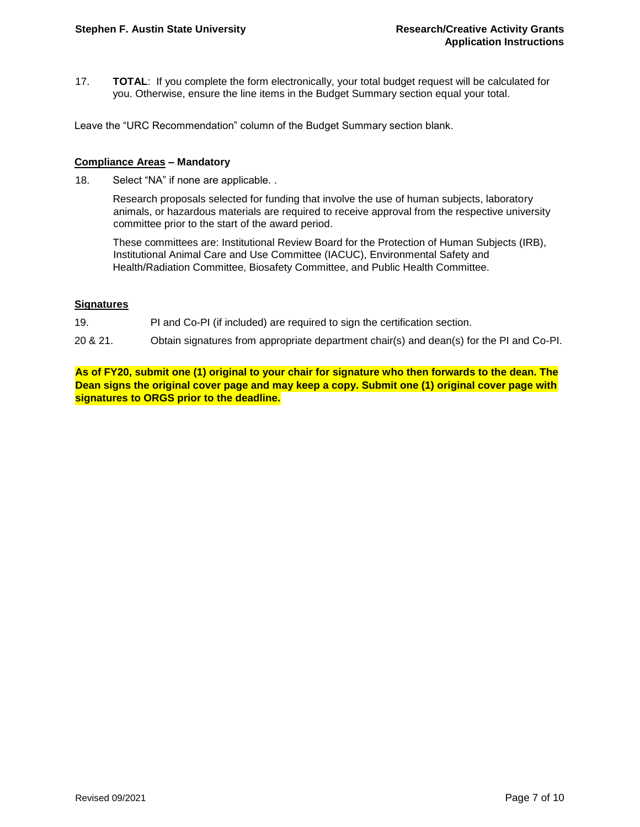17. **TOTAL**: If you complete the form electronically, your total budget request will be calculated for you. Otherwise, ensure the line items in the Budget Summary section equal your total.

Leave the "URC Recommendation" column of the Budget Summary section blank.

#### **Compliance Areas – Mandatory**

18. Select "NA" if none are applicable. .

Research proposals selected for funding that involve the use of human subjects, laboratory animals, or hazardous materials are required to receive approval from the respective university committee prior to the start of the award period.

These committees are: Institutional Review Board for the Protection of Human Subjects (IRB), Institutional Animal Care and Use Committee (IACUC), Environmental Safety and Health/Radiation Committee, Biosafety Committee, and Public Health Committee.

#### **Signatures**

- 19. PI and Co-PI (if included) are required to sign the certification section.
- 20 & 21. Obtain signatures from appropriate department chair(s) and dean(s) for the PI and Co-PI.

**As of FY20, submit one (1) original to your chair for signature who then forwards to the dean. The Dean signs the original cover page and may keep a copy. Submit one (1) original cover page with signatures to ORGS prior to the deadline.**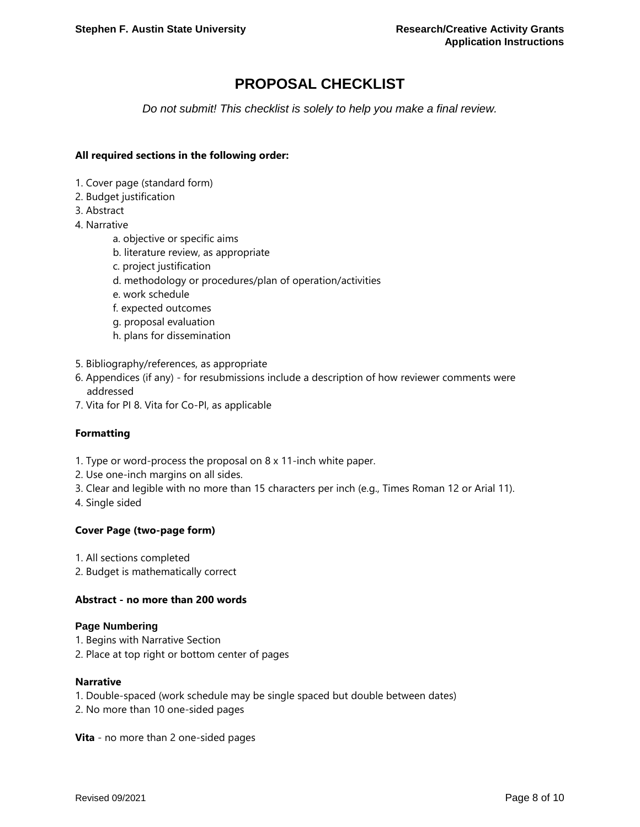# **PROPOSAL CHECKLIST**

*Do not submit! This checklist is solely to help you make a final review.*

### **All required sections in the following order:**

- 1. Cover page (standard form)
- 2. Budget justification
- 3. Abstract
- 4. Narrative
	- a. objective or specific aims
	- b. literature review, as appropriate
	- c. project justification
	- d. methodology or procedures/plan of operation/activities
	- e. work schedule
	- f. expected outcomes
	- g. proposal evaluation
	- h. plans for dissemination
- 5. Bibliography/references, as appropriate
- 6. Appendices (if any) for resubmissions include a description of how reviewer comments were addressed
- 7. Vita for PI 8. Vita for Co-PI, as applicable

# **Formatting**

- 1. Type or word-process the proposal on 8 x 11-inch white paper.
- 2. Use one-inch margins on all sides.
- 3. Clear and legible with no more than 15 characters per inch (e.g., Times Roman 12 or Arial 11).
- 4. Single sided

#### **Cover Page (two-page form)**

- 1. All sections completed
- 2. Budget is mathematically correct

#### **Abstract - no more than 200 words**

#### **Page Numbering**

- 1. Begins with Narrative Section
- 2. Place at top right or bottom center of pages

#### **Narrative**

- 1. Double-spaced (work schedule may be single spaced but double between dates)
- 2. No more than 10 one-sided pages

**Vita** - no more than 2 one-sided pages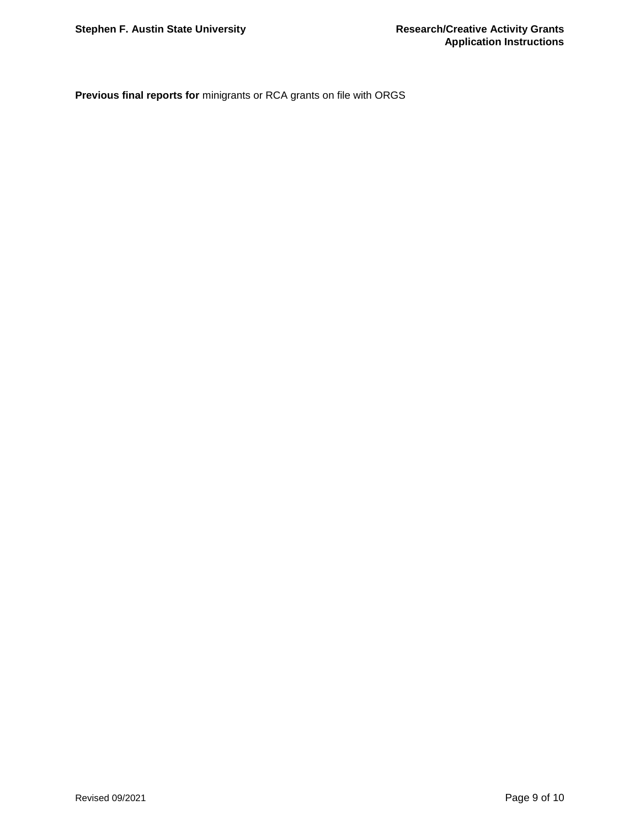**Previous final reports for** minigrants or RCA grants on file with ORGS